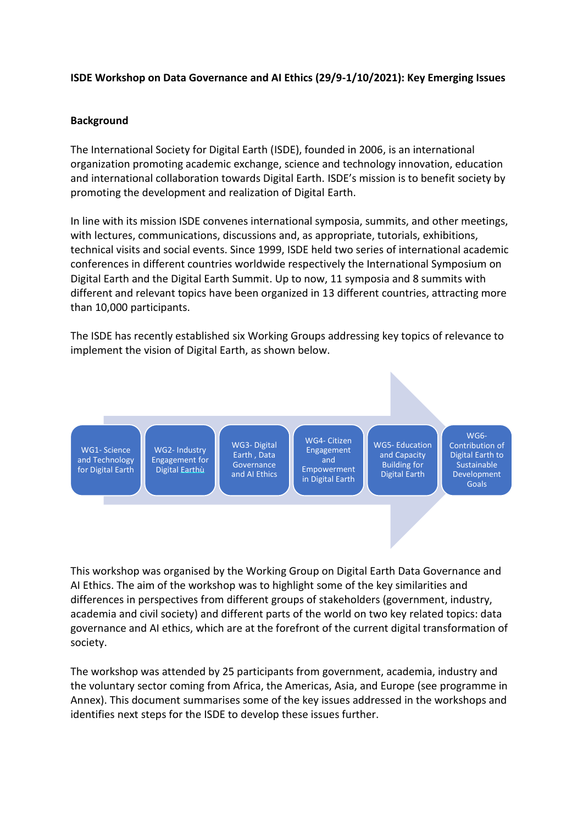#### **ISDE Workshop on Data Governance and AI Ethics (29/9-1/10/2021): Key Emerging Issues**

#### **Background**

The International Society for Digital Earth (ISDE), founded in 2006, is an international organization promoting academic exchange, science and technology innovation, education and international collaboration towards Digital Earth. ISDE's mission is to benefit society by promoting the development and realization of Digital Earth.

In line with its mission ISDE convenes international symposia, summits, and other meetings, with lectures, communications, discussions and, as appropriate, tutorials, exhibitions, technical visits and social events. Since 1999, ISDE held two series of international academic conferences in different countries worldwide respectively the International Symposium on Digital Earth and the Digital Earth Summit. Up to now, 11 symposia and 8 summits with different and relevant topics have been organized in 13 different countries, attracting more than 10,000 participants.

The ISDE has recently established six Working Groups addressing key topics of relevance to implement the vision of Digital Earth, as shown below.



This workshop was organised by the Working Group on Digital Earth Data Governance and AI Ethics. The aim of the workshop was to highlight some of the key similarities and differences in perspectives from different groups of stakeholders (government, industry, academia and civil society) and different parts of the world on two key related topics: data governance and AI ethics, which are at the forefront of the current digital transformation of society.

The workshop was attended by 25 participants from government, academia, industry and the voluntary sector coming from Africa, the Americas, Asia, and Europe (see programme in Annex). This document summarises some of the key issues addressed in the workshops and identifies next steps for the ISDE to develop these issues further.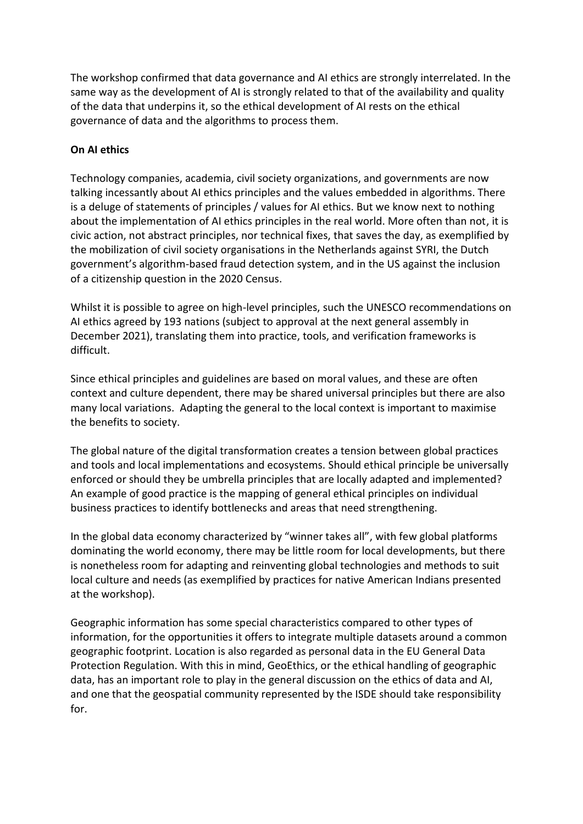The workshop confirmed that data governance and AI ethics are strongly interrelated. In the same way as the development of AI is strongly related to that of the availability and quality of the data that underpins it, so the ethical development of AI rests on the ethical governance of data and the algorithms to process them.

#### **On AI ethics**

Technology companies, academia, civil society organizations, and governments are now talking incessantly about AI ethics principles and the values embedded in algorithms. There is a deluge of statements of principles / values for AI ethics. But we know next to nothing about the implementation of AI ethics principles in the real world. More often than not, it is civic action, not abstract principles, nor technical fixes, that saves the day, as exemplified by the mobilization of civil society organisations in the Netherlands against SYRI, the Dutch government's algorithm-based fraud detection system, and in the US against the inclusion of a citizenship question in the 2020 Census.

Whilst it is possible to agree on high-level principles, such the UNESCO recommendations on AI ethics agreed by 193 nations (subject to approval at the next general assembly in December 2021), translating them into practice, tools, and verification frameworks is difficult.

Since ethical principles and guidelines are based on moral values, and these are often context and culture dependent, there may be shared universal principles but there are also many local variations. Adapting the general to the local context is important to maximise the benefits to society.

The global nature of the digital transformation creates a tension between global practices and tools and local implementations and ecosystems. Should ethical principle be universally enforced or should they be umbrella principles that are locally adapted and implemented? An example of good practice is the mapping of general ethical principles on individual business practices to identify bottlenecks and areas that need strengthening.

In the global data economy characterized by "winner takes all", with few global platforms dominating the world economy, there may be little room for local developments, but there is nonetheless room for adapting and reinventing global technologies and methods to suit local culture and needs (as exemplified by practices for native American Indians presented at the workshop).

Geographic information has some special characteristics compared to other types of information, for the opportunities it offers to integrate multiple datasets around a common geographic footprint. Location is also regarded as personal data in the EU General Data Protection Regulation. With this in mind, GeoEthics, or the ethical handling of geographic data, has an important role to play in the general discussion on the ethics of data and AI, and one that the geospatial community represented by the ISDE should take responsibility for.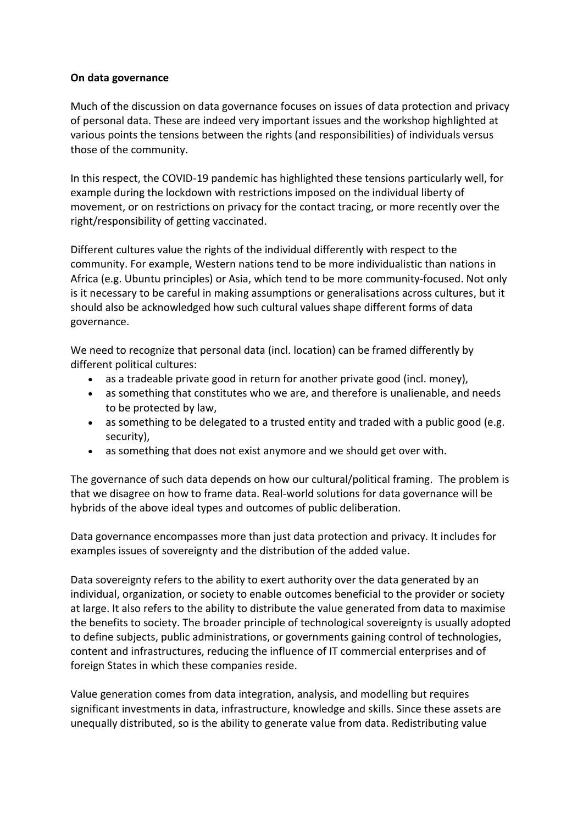#### **On data governance**

Much of the discussion on data governance focuses on issues of data protection and privacy of personal data. These are indeed very important issues and the workshop highlighted at various points the tensions between the rights (and responsibilities) of individuals versus those of the community.

In this respect, the COVID-19 pandemic has highlighted these tensions particularly well, for example during the lockdown with restrictions imposed on the individual liberty of movement, or on restrictions on privacy for the contact tracing, or more recently over the right/responsibility of getting vaccinated.

Different cultures value the rights of the individual differently with respect to the community. For example, Western nations tend to be more individualistic than nations in Africa (e.g. Ubuntu principles) or Asia, which tend to be more community-focused. Not only is it necessary to be careful in making assumptions or generalisations across cultures, but it should also be acknowledged how such cultural values shape different forms of data governance.

We need to recognize that personal data (incl. location) can be framed differently by different political cultures:

- as a tradeable private good in return for another private good (incl. money),
- as something that constitutes who we are, and therefore is unalienable, and needs to be protected by law,
- as something to be delegated to a trusted entity and traded with a public good (e.g. security),
- as something that does not exist anymore and we should get over with.

The governance of such data depends on how our cultural/political framing. The problem is that we disagree on how to frame data. Real-world solutions for data governance will be hybrids of the above ideal types and outcomes of public deliberation.

Data governance encompasses more than just data protection and privacy. It includes for examples issues of sovereignty and the distribution of the added value.

Data sovereignty refers to the ability to exert authority over the data generated by an individual, organization, or society to enable outcomes beneficial to the provider or society at large. It also refers to the ability to distribute the value generated from data to maximise the benefits to society. The broader principle of technological sovereignty is usually adopted to define subjects, public administrations, or governments gaining control of technologies, content and infrastructures, reducing the influence of IT commercial enterprises and of foreign States in which these companies reside.

Value generation comes from data integration, analysis, and modelling but requires significant investments in data, infrastructure, knowledge and skills. Since these assets are unequally distributed, so is the ability to generate value from data. Redistributing value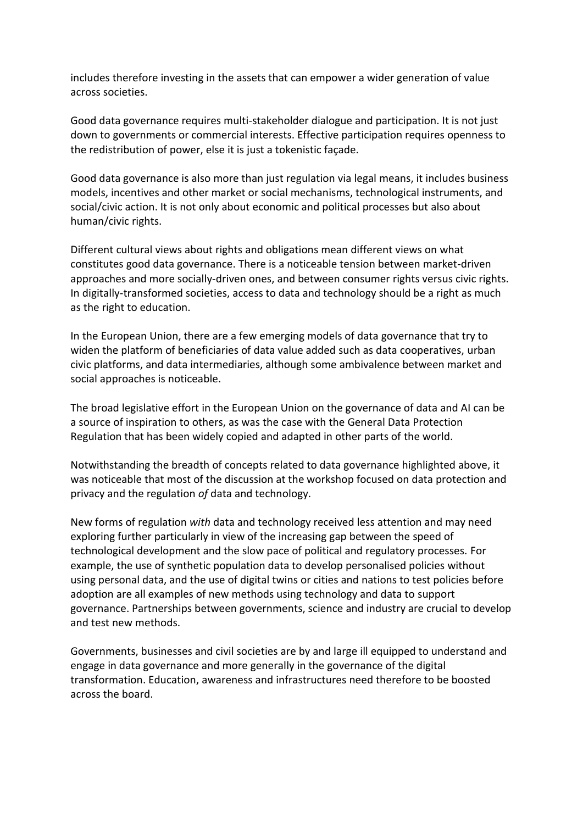includes therefore investing in the assets that can empower a wider generation of value across societies.

Good data governance requires multi-stakeholder dialogue and participation. It is not just down to governments or commercial interests. Effective participation requires openness to the redistribution of power, else it is just a tokenistic façade.

Good data governance is also more than just regulation via legal means, it includes business models, incentives and other market or social mechanisms, technological instruments, and social/civic action. It is not only about economic and political processes but also about human/civic rights.

Different cultural views about rights and obligations mean different views on what constitutes good data governance. There is a noticeable tension between market-driven approaches and more socially-driven ones, and between consumer rights versus civic rights. In digitally-transformed societies, access to data and technology should be a right as much as the right to education.

In the European Union, there are a few emerging models of data governance that try to widen the platform of beneficiaries of data value added such as data cooperatives, urban civic platforms, and data intermediaries, although some ambivalence between market and social approaches is noticeable.

The broad legislative effort in the European Union on the governance of data and AI can be a source of inspiration to others, as was the case with the General Data Protection Regulation that has been widely copied and adapted in other parts of the world.

Notwithstanding the breadth of concepts related to data governance highlighted above, it was noticeable that most of the discussion at the workshop focused on data protection and privacy and the regulation *of* data and technology.

New forms of regulation *with* data and technology received less attention and may need exploring further particularly in view of the increasing gap between the speed of technological development and the slow pace of political and regulatory processes. For example, the use of synthetic population data to develop personalised policies without using personal data, and the use of digital twins or cities and nations to test policies before adoption are all examples of new methods using technology and data to support governance. Partnerships between governments, science and industry are crucial to develop and test new methods.

Governments, businesses and civil societies are by and large ill equipped to understand and engage in data governance and more generally in the governance of the digital transformation. Education, awareness and infrastructures need therefore to be boosted across the board.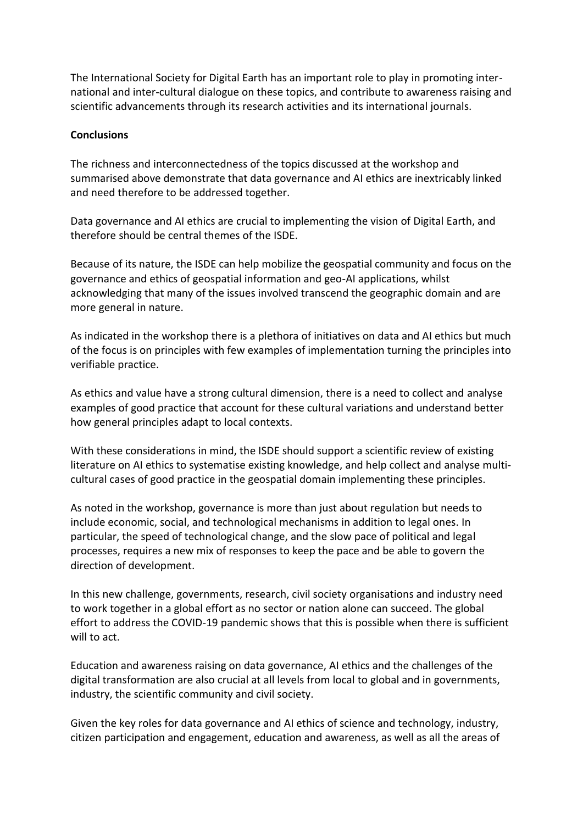The International Society for Digital Earth has an important role to play in promoting international and inter-cultural dialogue on these topics, and contribute to awareness raising and scientific advancements through its research activities and its international journals.

#### **Conclusions**

The richness and interconnectedness of the topics discussed at the workshop and summarised above demonstrate that data governance and AI ethics are inextricably linked and need therefore to be addressed together.

Data governance and AI ethics are crucial to implementing the vision of Digital Earth, and therefore should be central themes of the ISDE.

Because of its nature, the ISDE can help mobilize the geospatial community and focus on the governance and ethics of geospatial information and geo-AI applications, whilst acknowledging that many of the issues involved transcend the geographic domain and are more general in nature.

As indicated in the workshop there is a plethora of initiatives on data and AI ethics but much of the focus is on principles with few examples of implementation turning the principles into verifiable practice.

As ethics and value have a strong cultural dimension, there is a need to collect and analyse examples of good practice that account for these cultural variations and understand better how general principles adapt to local contexts.

With these considerations in mind, the ISDE should support a scientific review of existing literature on AI ethics to systematise existing knowledge, and help collect and analyse multicultural cases of good practice in the geospatial domain implementing these principles.

As noted in the workshop, governance is more than just about regulation but needs to include economic, social, and technological mechanisms in addition to legal ones. In particular, the speed of technological change, and the slow pace of political and legal processes, requires a new mix of responses to keep the pace and be able to govern the direction of development.

In this new challenge, governments, research, civil society organisations and industry need to work together in a global effort as no sector or nation alone can succeed. The global effort to address the COVID-19 pandemic shows that this is possible when there is sufficient will to act.

Education and awareness raising on data governance, AI ethics and the challenges of the digital transformation are also crucial at all levels from local to global and in governments, industry, the scientific community and civil society.

Given the key roles for data governance and AI ethics of science and technology, industry, citizen participation and engagement, education and awareness, as well as all the areas of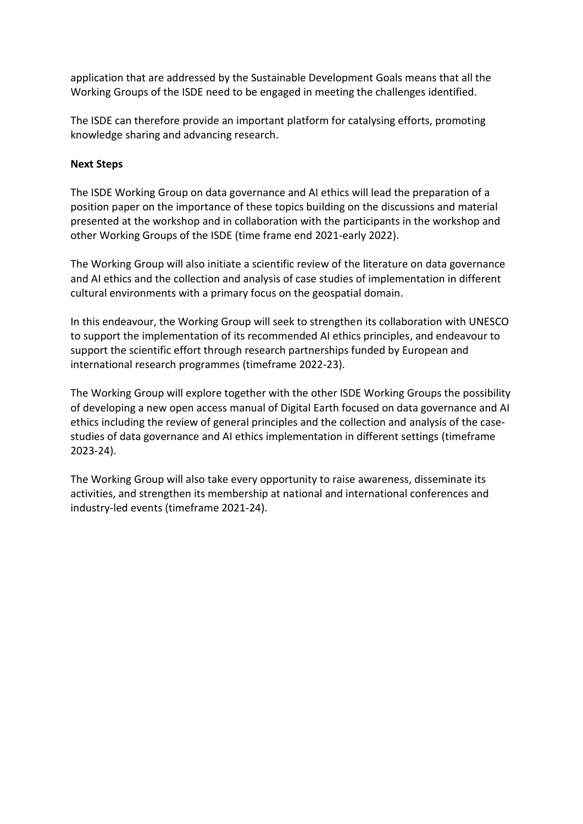application that are addressed by the Sustainable Development Goals means that all the Working Groups of the ISDE need to be engaged in meeting the challenges identified.

The ISDE can therefore provide an important platform for catalysing efforts, promoting knowledge sharing and advancing research.

#### **Next Steps**

The ISDE Working Group on data governance and AI ethics will lead the preparation of a position paper on the importance of these topics building on the discussions and material presented at the workshop and in collaboration with the participants in the workshop and other Working Groups of the ISDE (time frame end 2021-early 2022).

The Working Group will also initiate a scientific review of the literature on data governance and AI ethics and the collection and analysis of case studies of implementation in different cultural environments with a primary focus on the geospatial domain.

In this endeavour, the Working Group will seek to strengthen its collaboration with UNESCO to support the implementation of its recommended AI ethics principles, and endeavour to support the scientific effort through research partnerships funded by European and international research programmes (timeframe 2022-23).

The Working Group will explore together with the other ISDE Working Groups the possibility of developing a new open access manual of Digital Earth focused on data governance and AI ethics including the review of general principles and the collection and analysis of the casestudies of data governance and AI ethics implementation in different settings (timeframe 2023-24).

The Working Group will also take every opportunity to raise awareness, disseminate its activities, and strengthen its membership at national and international conferences and industry-led events (timeframe 2021-24).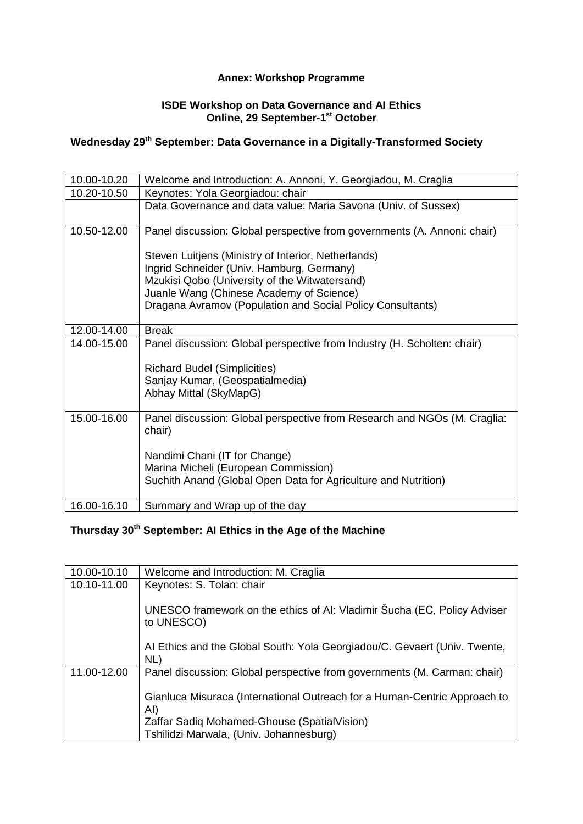#### **Annex: Workshop Programme**

#### **ISDE Workshop on Data Governance and AI Ethics Online, 29 September-1 st October**

## **Wednesday 29th September: Data Governance in a Digitally-Transformed Society**

| 10.00-10.20 | Welcome and Introduction: A. Annoni, Y. Georgiadou, M. Craglia                     |
|-------------|------------------------------------------------------------------------------------|
| 10.20-10.50 | Keynotes: Yola Georgiadou: chair                                                   |
|             | Data Governance and data value: Maria Savona (Univ. of Sussex)                     |
| 10.50-12.00 | Panel discussion: Global perspective from governments (A. Annoni: chair)           |
|             | Steven Luitjens (Ministry of Interior, Netherlands)                                |
|             | Ingrid Schneider (Univ. Hamburg, Germany)                                          |
|             | Mzukisi Qobo (University of the Witwatersand)                                      |
|             | Juanle Wang (Chinese Academy of Science)                                           |
|             | Dragana Avramov (Population and Social Policy Consultants)                         |
| 12.00-14.00 | <b>Break</b>                                                                       |
| 14.00-15.00 | Panel discussion: Global perspective from Industry (H. Scholten: chair)            |
|             | <b>Richard Budel (Simplicities)</b>                                                |
|             | Sanjay Kumar, (Geospatialmedia)                                                    |
|             | Abhay Mittal (SkyMapG)                                                             |
| 15.00-16.00 | Panel discussion: Global perspective from Research and NGOs (M. Craglia:<br>chair) |
|             | Nandimi Chani (IT for Change)                                                      |
|             | Marina Micheli (European Commission)                                               |
|             | Suchith Anand (Global Open Data for Agriculture and Nutrition)                     |
| 16.00-16.10 | Summary and Wrap up of the day                                                     |

### **Thursday 30th September: AI Ethics in the Age of the Machine**

| 10.00-10.10 | Welcome and Introduction: M. Craglia                                                   |
|-------------|----------------------------------------------------------------------------------------|
| 10.10-11.00 | Keynotes: S. Tolan: chair                                                              |
|             | UNESCO framework on the ethics of AI: Vladimir Šucha (EC, Policy Adviser<br>to UNESCO) |
|             | Al Ethics and the Global South: Yola Georgiadou/C. Gevaert (Univ. Twente,<br>NL)       |
| 11.00-12.00 | Panel discussion: Global perspective from governments (M. Carman: chair)               |
|             | Gianluca Misuraca (International Outreach for a Human-Centric Approach to<br>AI)       |
|             | Zaffar Sadiq Mohamed-Ghouse (SpatialVision)                                            |
|             | Tshilidzi Marwala, (Univ. Johannesburg)                                                |